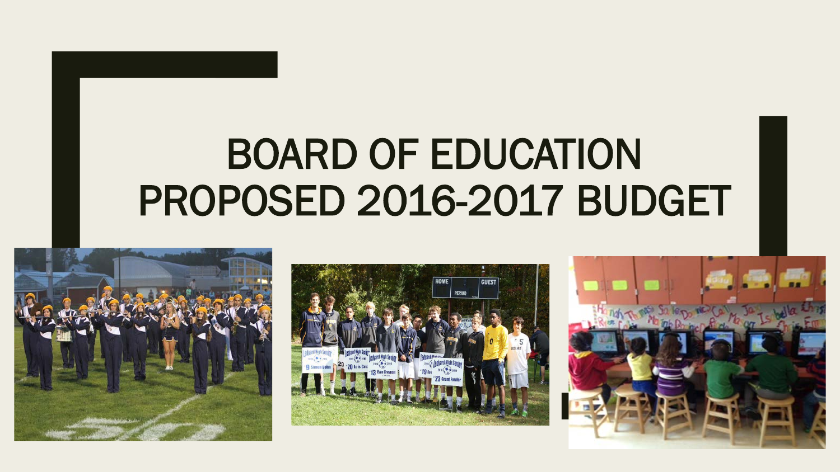# BOARD OF EDUCATION PROPOSED 2016-2017 BUDGET





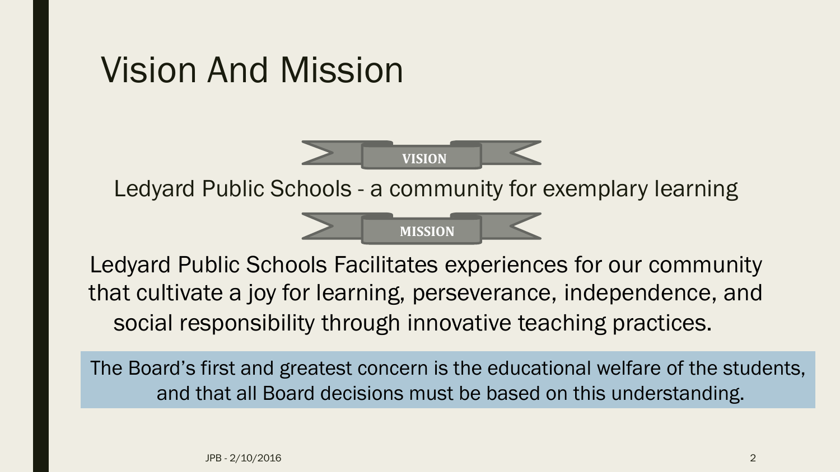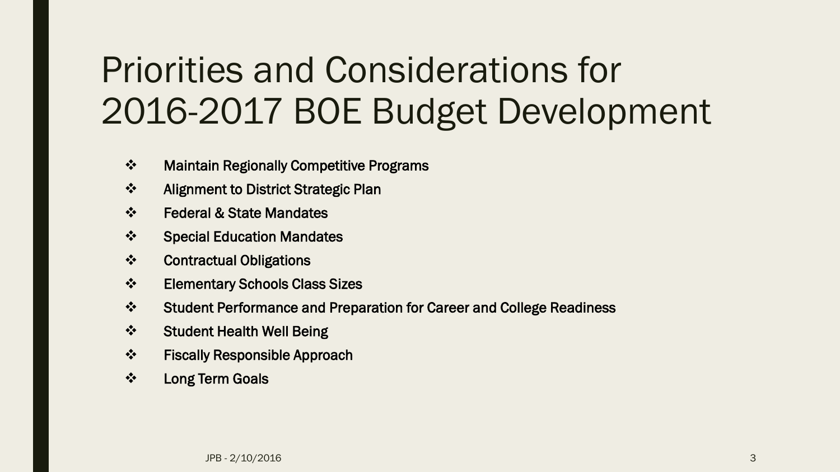# Priorities and Considerations for 2016-2017 BOE Budget Development

- Maintain Regionally Competitive Programs
- ❖ Alignment to District Strategic Plan
- Federal & State Mandates
- Special Education Mandates
- Contractual Obligations
- Elementary Schools Class Sizes
- Student Performance and Preparation for Career and College Readiness
- ❖ Student Health Well Being
- Fiscally Responsible Approach
- ❖ Long Term Goals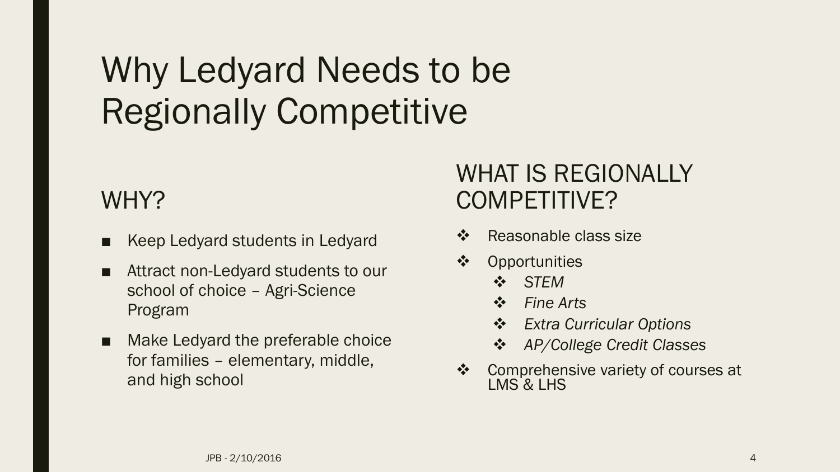# Why Ledyard Needs to be Regionally Competitive

#### WHY?

- Keep Ledyard students in Ledyard
- Attract non-Ledyard students to our school of choice – Agri-Science Program
- Make Ledyard the preferable choice for families – elementary, middle, and high school

#### WHAT IS REGIONALLY COMPETITIVE?

- ❖ Reasonable class size
- ❖ Opportunities
	- *STEM*
	- *Fine Arts*
	- *Extra Curricular Options*
	- *AP/College Credit Classes*
- **❖** Comprehensive variety of courses at LMS & LHS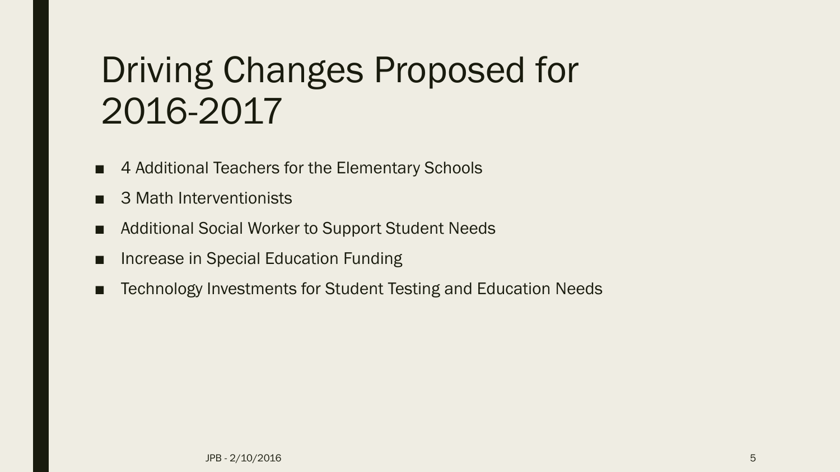# Driving Changes Proposed for 2016-2017

- 4 Additional Teachers for the Elementary Schools
- 3 Math Interventionists
- Additional Social Worker to Support Student Needs
- Increase in Special Education Funding
- Technology Investments for Student Testing and Education Needs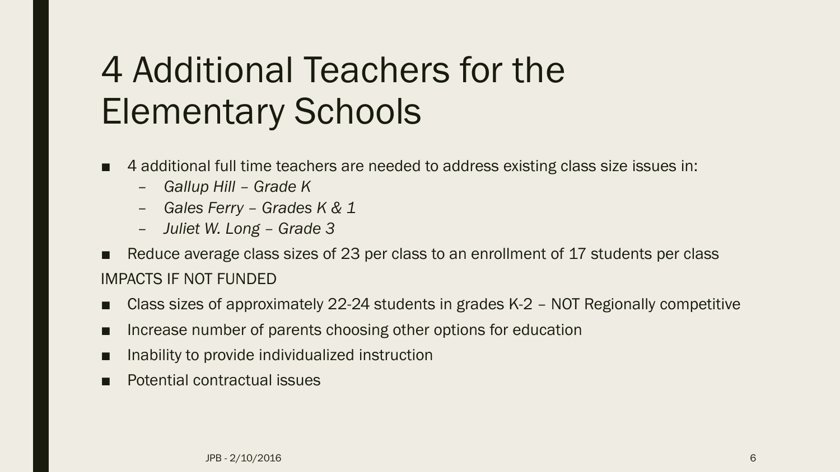# 4 Additional Teachers for the Elementary Schools

- 4 additional full time teachers are needed to address existing class size issues in:
	- *Gallup Hill – Grade K*
	- *Gales Ferry – Grades K & 1*
	- *Juliet W. Long – Grade 3*
- Reduce average class sizes of 23 per class to an enrollment of 17 students per class IMPACTS IF NOT FUNDED
- Class sizes of approximately 22-24 students in grades K-2 NOT Regionally competitive
- Increase number of parents choosing other options for education
- Inability to provide individualized instruction
- **Potential contractual issues**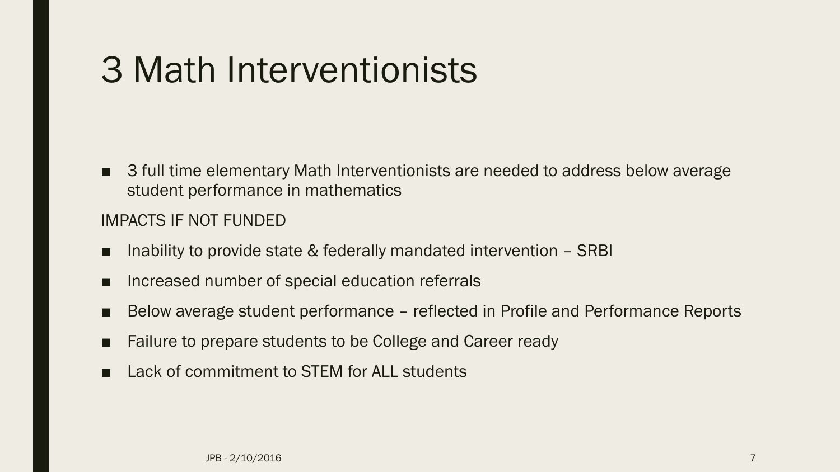## 3 Math Interventionists

■ 3 full time elementary Math Interventionists are needed to address below average student performance in mathematics

#### IMPACTS IF NOT FUNDED

- Inability to provide state  $&$  federally mandated intervention  $-$  SRBI
- Increased number of special education referrals
- Below average student performance reflected in Profile and Performance Reports
- Failure to prepare students to be College and Career ready
- Lack of commitment to STEM for ALL students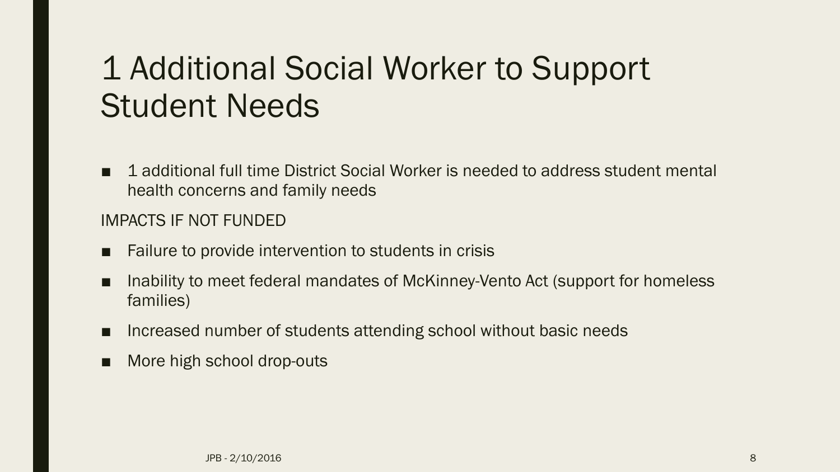#### 1 Additional Social Worker to Support Student Needs

■ 1 additional full time District Social Worker is needed to address student mental health concerns and family needs

#### IMPACTS IF NOT FUNDED

- Failure to provide intervention to students in crisis
- Inability to meet federal mandates of McKinney-Vento Act (support for homeless families)
- Increased number of students attending school without basic needs
- More high school drop-outs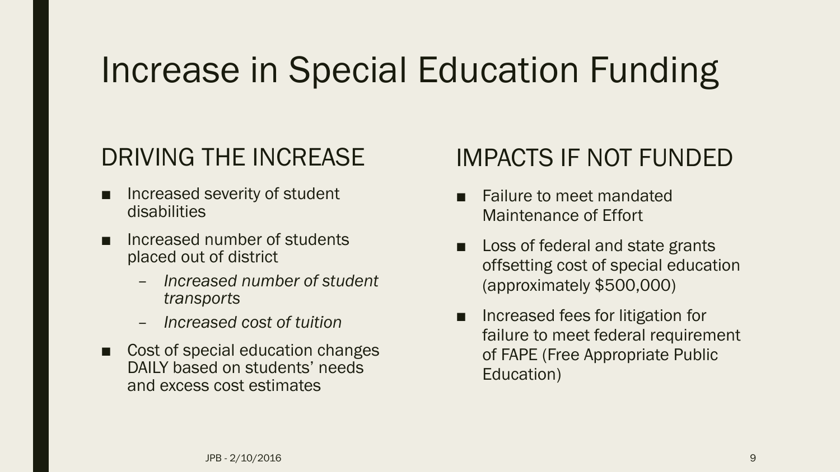# Increase in Special Education Funding

#### DRIVING THE INCREASE

- Increased severity of student disabilities
- Increased number of students placed out of district
	- *Increased number of student transports*
	- *Increased cost of tuition*
- Cost of special education changes DAILY based on students' needs and excess cost estimates

#### IMPACTS IF NOT FUNDED

- Failure to meet mandated Maintenance of Effort
- Loss of federal and state grants offsetting cost of special education (approximately \$500,000)
- Increased fees for litigation for failure to meet federal requirement of FAPE (Free Appropriate Public Education)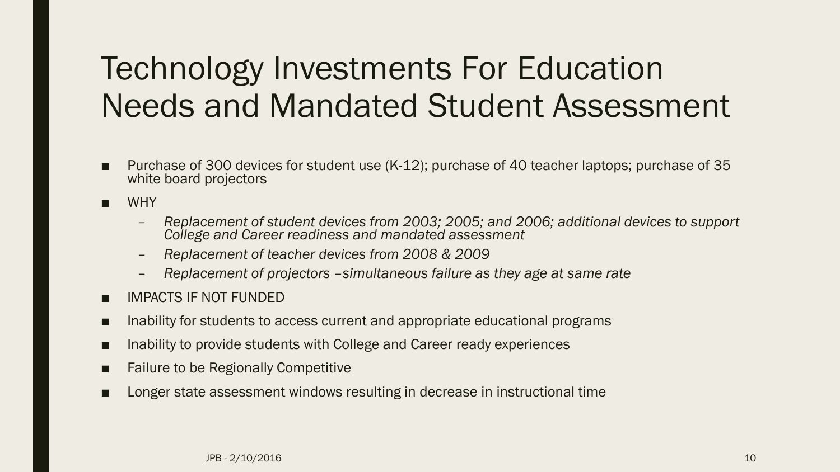#### Technology Investments For Education Needs and Mandated Student Assessment

- Purchase of 300 devices for student use (K-12); purchase of 40 teacher laptops; purchase of 35 white board projectors
- WHY
	- *Replacement of student devices from 2003; 2005; and 2006; additional devices to support College and Career readiness and mandated assessment*
	- *Replacement of teacher devices from 2008 & 2009*
	- *Replacement of projectors –simultaneous failure as they age at same rate*
- IMPACTS IF NOT FUNDED
- Inability for students to access current and appropriate educational programs
- Inability to provide students with College and Career ready experiences
- Failure to be Regionally Competitive
- Longer state assessment windows resulting in decrease in instructional time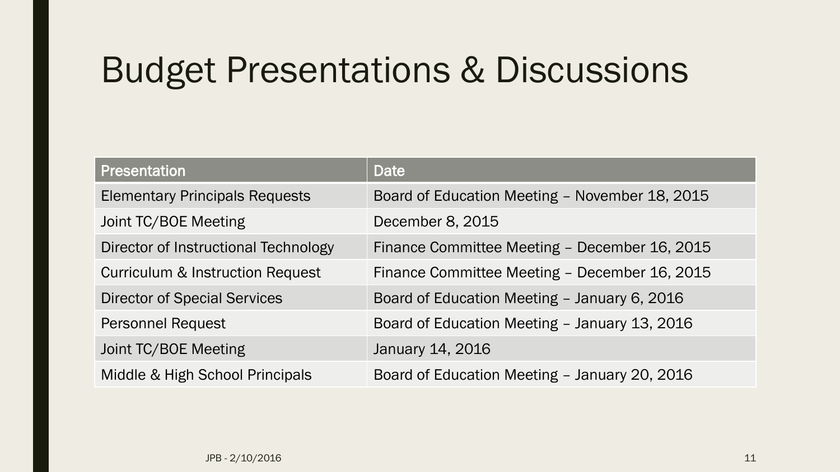## Budget Presentations & Discussions

| Presentation                                | <b>Date</b>                                    |
|---------------------------------------------|------------------------------------------------|
| <b>Elementary Principals Requests</b>       | Board of Education Meeting - November 18, 2015 |
| Joint TC/BOE Meeting                        | December 8, 2015                               |
| Director of Instructional Technology        | Finance Committee Meeting - December 16, 2015  |
| <b>Curriculum &amp; Instruction Request</b> | Finance Committee Meeting - December 16, 2015  |
| <b>Director of Special Services</b>         | Board of Education Meeting - January 6, 2016   |
| <b>Personnel Request</b>                    | Board of Education Meeting - January 13, 2016  |
| Joint TC/BOE Meeting                        | January 14, 2016                               |
| Middle & High School Principals             | Board of Education Meeting - January 20, 2016  |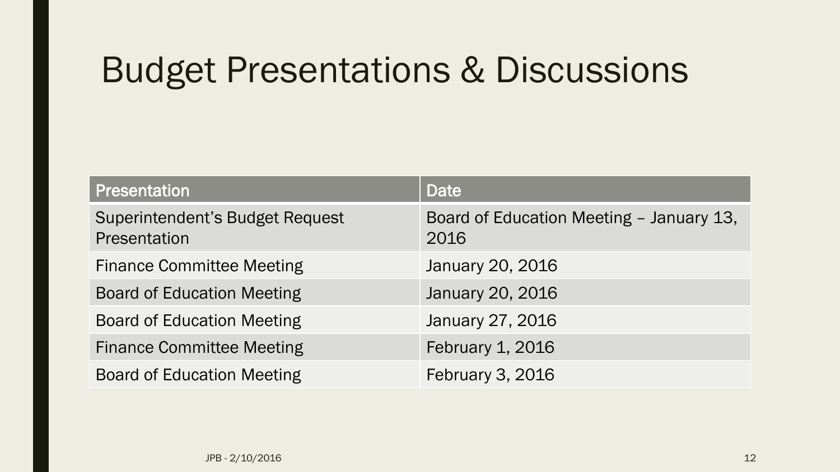## Budget Presentations & Discussions

| <b>Presentation</b>                                    | Date                                             |
|--------------------------------------------------------|--------------------------------------------------|
| <b>Superintendent's Budget Request</b><br>Presentation | Board of Education Meeting - January 13,<br>2016 |
| <b>Finance Committee Meeting</b>                       | January 20, 2016                                 |
| <b>Board of Education Meeting</b>                      | January 20, 2016                                 |
| <b>Board of Education Meeting</b>                      | January 27, 2016                                 |
| <b>Finance Committee Meeting</b>                       | February 1, 2016                                 |
| <b>Board of Education Meeting</b>                      | February 3, 2016                                 |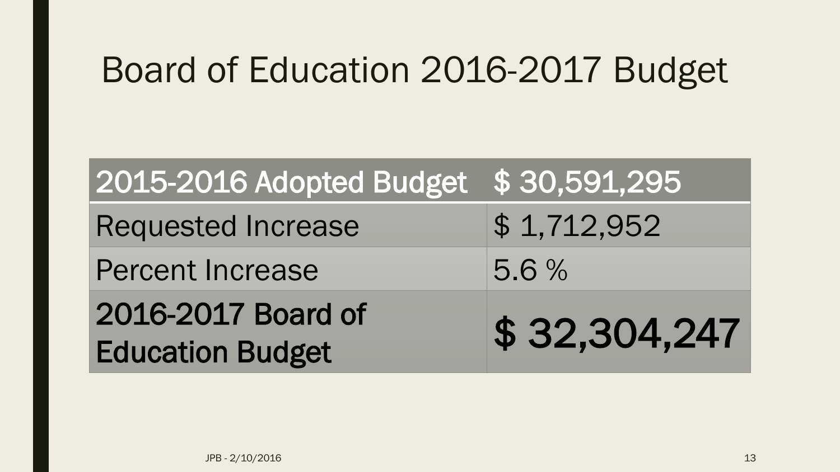## Board of Education 2016-2017 Budget

| 2015-2016 Adopted Budget \$30,591,295         |              |
|-----------------------------------------------|--------------|
| <b>Requested Increase</b>                     | \$1,712,952  |
| <b>Percent Increase</b>                       | 5.6%         |
| 2016-2017 Board of<br><b>Education Budget</b> | \$32,304,247 |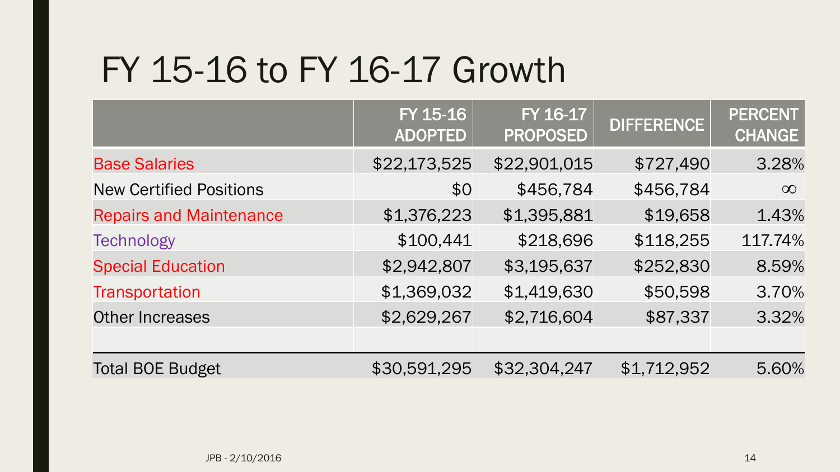# FY 15-16 to FY 16-17 Growth

|                                | FY 15-16<br><b>ADOPTED</b> | FY 16-17<br><b>PROPOSED</b> | <b>DIFFERENCE</b> | <b>PERCENT</b><br><b>CHANGE</b> |
|--------------------------------|----------------------------|-----------------------------|-------------------|---------------------------------|
| <b>Base Salaries</b>           | \$22,173,525               | \$22,901,015                | \$727,490         | 3.28%                           |
| <b>New Certified Positions</b> | \$0                        | \$456,784                   | \$456,784         | $\infty$                        |
| <b>Repairs and Maintenance</b> | \$1,376,223                | \$1,395,881                 | \$19,658          | 1.43%                           |
| <b>Technology</b>              | \$100,441                  | \$218,696                   | \$118,255         | 117.74%                         |
| <b>Special Education</b>       | \$2,942,807                | \$3,195,637                 | \$252,830         | 8.59%                           |
| Transportation                 | \$1,369,032                | \$1,419,630                 | \$50,598          | 3.70%                           |
| <b>Other Increases</b>         | \$2,629,267                | \$2,716,604                 | \$87,337          | 3.32%                           |
|                                |                            |                             |                   |                                 |
| <b>Total BOE Budget</b>        | \$30,591,295               | \$32,304,247                | \$1,712,952       | 5.60%                           |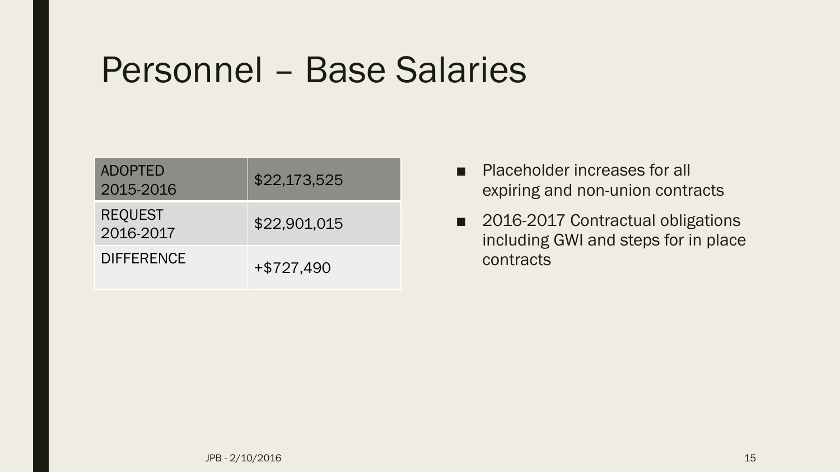#### Personnel – Base Salaries

| <b>ADOPTED</b><br>2015-2016 | \$22,173,525 |
|-----------------------------|--------------|
| <b>REQUEST</b><br>2016-2017 | \$22,901,015 |
| <b>DIFFERENCE</b>           | $+ $727,490$ |

- Placeholder increases for all expiring and non-union contracts
- 2016-2017 Contractual obligations including GWI and steps for in place contracts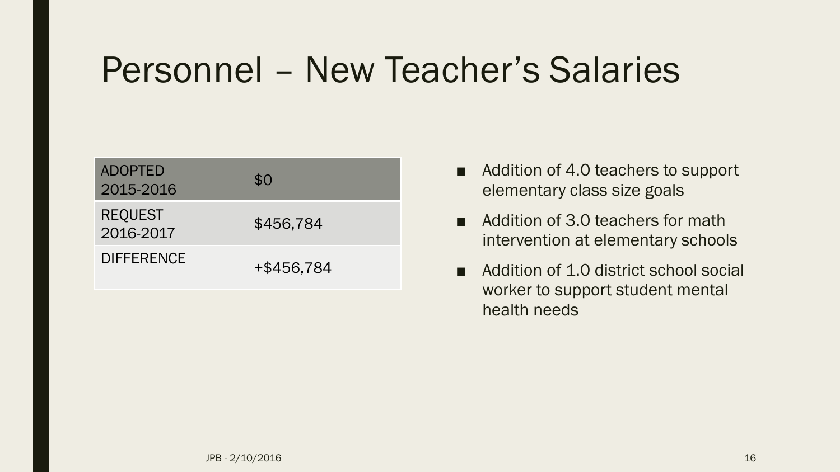## Personnel – New Teacher's Salaries

| <b>ADOPTED</b><br>2015-2016 | \$0        |
|-----------------------------|------------|
| <b>REQUEST</b><br>2016-2017 | \$456,784  |
| <b>DIFFERENCE</b>           | +\$456,784 |

- Addition of 4.0 teachers to support elementary class size goals
- Addition of 3.0 teachers for math intervention at elementary schools
- Addition of 1.0 district school social worker to support student mental health needs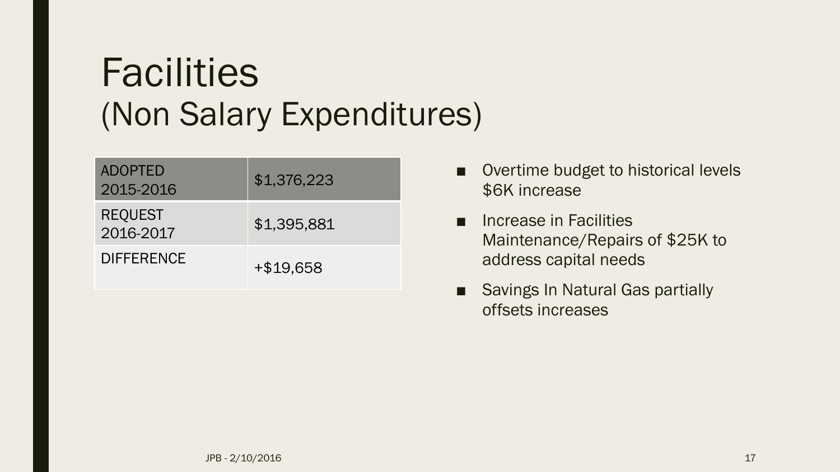# **Facilities** (Non Salary Expenditures)

| <b>ADOPTED</b><br>2015-2016 | \$1,376,223 |
|-----------------------------|-------------|
| <b>REQUEST</b><br>2016-2017 | \$1,395,881 |
| <b>DIFFERENCE</b>           | +\$19.658   |

- Overtime budget to historical levels \$6K increase
- Increase in Facilities Maintenance/Repairs of \$25K to address capital needs
- Savings In Natural Gas partially offsets increases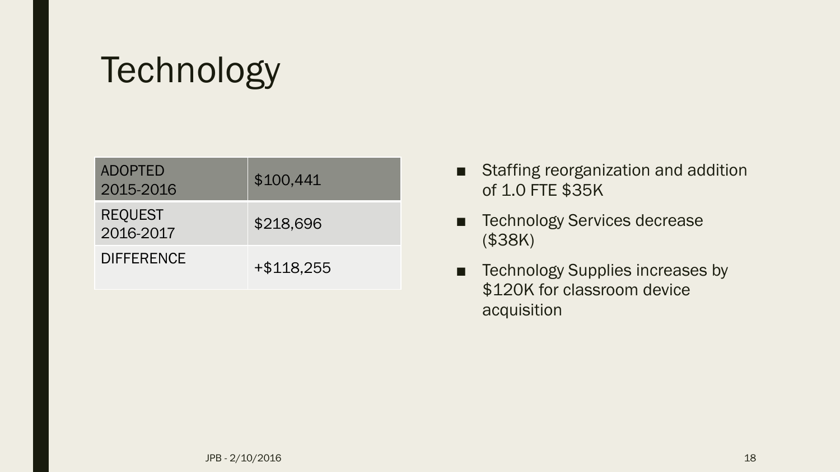# **Technology**

| <b>ADOPTED</b><br>2015-2016 | \$100,441    |
|-----------------------------|--------------|
| <b>REQUEST</b><br>2016-2017 | \$218,696    |
| <b>DIFFERENCE</b>           | $+ $118,255$ |

- Staffing reorganization and addition of 1.0 FTE \$35K
- Technology Services decrease (\$38K)
- Technology Supplies increases by \$120K for classroom device acquisition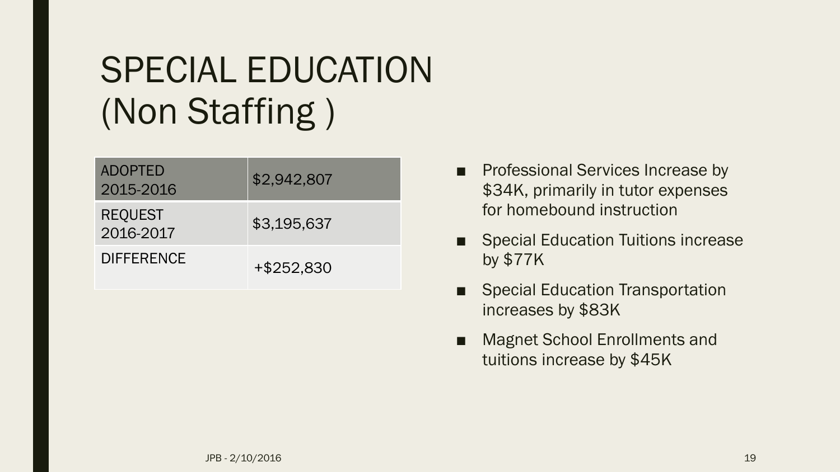# SPECIAL EDUCATION (Non Staffing )

| <b>ADOPTED</b><br>2015-2016 | \$2,942,807 |
|-----------------------------|-------------|
| <b>REQUEST</b><br>2016-2017 | \$3,195,637 |
| <b>DIFFERENCE</b>           | +\$252,830  |

- Professional Services Increase by \$34K, primarily in tutor expenses for homebound instruction
- Special Education Tuitions increase by \$77K
- **Special Education Transportation** increases by \$83K
- Magnet School Enrollments and tuitions increase by \$45K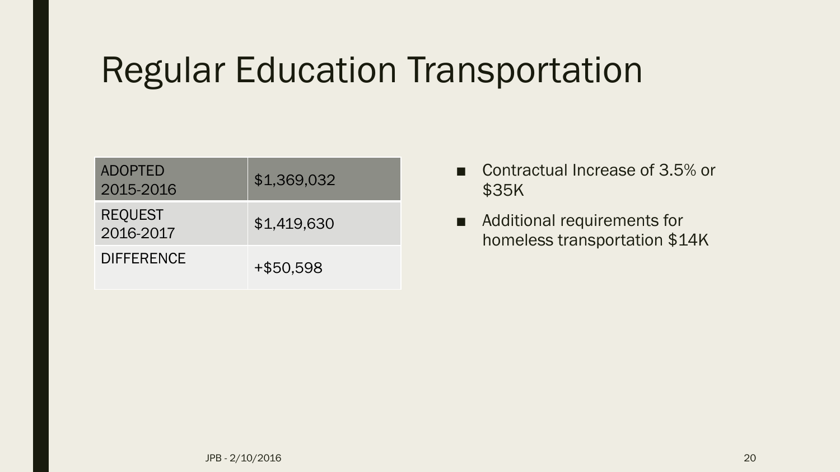# Regular Education Transportation

| <b>ADOPTED</b><br>2015-2016 | \$1,369,032 |
|-----------------------------|-------------|
| <b>REQUEST</b><br>2016-2017 | \$1,419,630 |
| <b>DIFFERENCE</b>           | +\$50.598   |

- Contractual Increase of 3.5% or \$35K
- Additional requirements for homeless transportation \$14K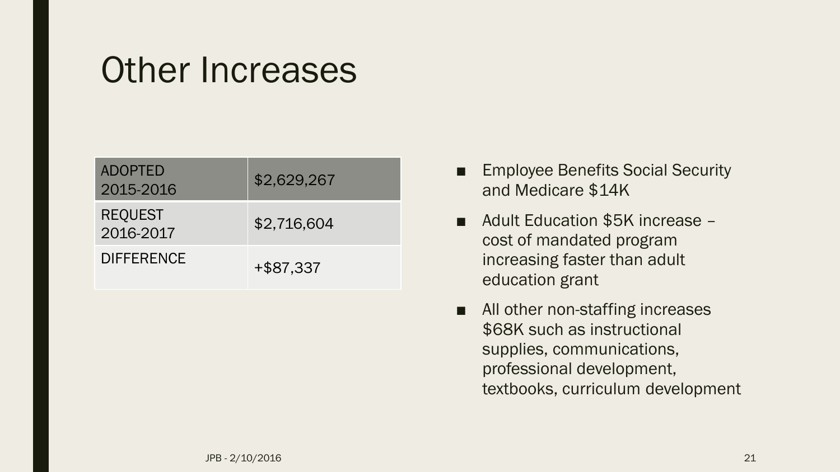#### Other Increases

| <b>ADOPTED</b><br>2015-2016 | \$2,629,267 |
|-----------------------------|-------------|
| <b>REQUEST</b><br>2016-2017 | \$2,716,604 |
| <b>DIFFERENCE</b>           | +\$87,337   |

- **Employee Benefits Social Security** and Medicare \$14K
- Adult Education \$5K increase cost of mandated program increasing faster than adult education grant
- All other non-staffing increases \$68K such as instructional supplies, communications, professional development, textbooks, curriculum development